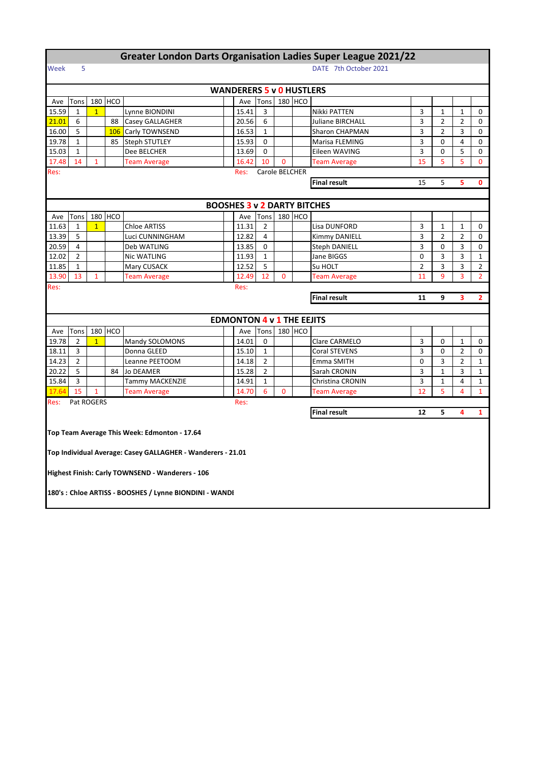## **Greater London Darts Organisation Ladies Super League 2021/22**

## Week 5 DATE 7th October 2021

|       |                |                |         |                                                             | <b>WANDERERS 5 v 0 HUSTLERS</b>    |                |              |         |                         |                |                |                |                |
|-------|----------------|----------------|---------|-------------------------------------------------------------|------------------------------------|----------------|--------------|---------|-------------------------|----------------|----------------|----------------|----------------|
| Ave   | Tons           |                | 180 HCO |                                                             | Ave                                | Tons           |              | 180 HCO |                         |                |                |                |                |
| 15.59 | $\mathbf{1}$   | $\mathbf{1}$   |         | Lynne BIONDINI                                              | 15.41                              | 3              |              |         | Nikki PATTEN            | 3              | 1              | $\mathbf{1}$   | 0              |
| 21.01 | 6              |                | 88      | Casey GALLAGHER                                             | 20.56                              | 6              |              |         | <b>Juliane BIRCHALL</b> | 3              | $\overline{2}$ | $\overline{2}$ | $\Omega$       |
| 16.00 | 5              |                | 106     | Carly TOWNSEND                                              | 16.53                              | $\mathbf{1}$   |              |         | Sharon CHAPMAN          | 3              | $\overline{2}$ | 3              | 0              |
| 19.78 | 1              |                | 85      | <b>Steph STUTLEY</b>                                        | 15.93                              | 0              |              |         | Marisa FLEMING          | 3              | 0              | 4              | 0              |
| 15.03 | $\mathbf{1}$   |                |         | Dee BELCHER                                                 | 13.69                              | 0              |              |         | Eileen WAVING           | 3              | 0              | 5              | 0              |
| 17.48 | 14             | $\mathbf{1}$   |         | <b>Team Average</b>                                         | 16.42                              | 10             | $\mathbf{0}$ |         | <b>Team Average</b>     | 15             | 5              | 5              | $\overline{0}$ |
| Res:  |                |                |         |                                                             | Res:                               | Carole BELCHER |              |         |                         |                |                |                |                |
|       |                |                |         |                                                             |                                    |                |              |         | <b>Final result</b>     | 15             | 5              | 5              | $\mathbf 0$    |
|       |                |                |         |                                                             |                                    |                |              |         |                         |                |                |                |                |
|       |                |                |         |                                                             | <b>BOOSHES 3 v 2 DARTY BITCHES</b> |                |              |         |                         |                |                |                |                |
| Ave   | Tons           |                | 180 HCO |                                                             | Ave                                | Tons           |              | 180 HCO |                         |                |                |                |                |
| 11.63 | $\mathbf{1}$   | $\overline{1}$ |         | <b>Chloe ARTISS</b>                                         | 11.31                              | $\overline{2}$ |              |         | Lisa DUNFORD            | 3              | $\mathbf{1}$   | $\mathbf{1}$   | 0              |
| 13.39 | 5              |                |         | Luci CUNNINGHAM                                             | 12.82                              | 4              |              |         | <b>Kimmy DANIELL</b>    | 3              | $\overline{2}$ | $\overline{2}$ | 0              |
| 20.59 | 4              |                |         | Deb WATLING                                                 | 13.85                              | 0              |              |         | <b>Steph DANIELL</b>    | 3              | 0              | 3              | 0              |
| 12.02 | $\overline{2}$ |                |         | Nic WATLING                                                 | 11.93                              | $\mathbf{1}$   |              |         | Jane BIGGS              | 0              | 3              | 3              | $\mathbf{1}$   |
| 11.85 | $\mathbf{1}$   |                |         | Mary CUSACK                                                 | 12.52                              | 5              |              |         | Su HOLT                 | $\overline{2}$ | 3              | 3              | $\overline{2}$ |
| 13.90 | 13             | $\mathbf{1}$   |         | <b>Team Average</b>                                         | 12.49                              | 12             | $\mathbf{0}$ |         | <b>Team Average</b>     | 11             | 9              | 3              | $\overline{2}$ |
| Res:  |                |                |         |                                                             | Res:                               |                |              |         |                         |                |                |                |                |
|       |                |                |         |                                                             |                                    |                |              |         | <b>Final result</b>     | 11             |                |                |                |
|       |                |                |         |                                                             |                                    |                |              |         |                         |                | 9              | з              | $\mathbf{2}$   |
|       |                |                |         |                                                             |                                    |                |              |         |                         |                |                |                |                |
|       |                |                |         |                                                             | <b>EDMONTON 4 v 1 THE EEJITS</b>   |                |              |         |                         |                |                |                |                |
| Ave   | Tons           |                | 180 HCO |                                                             | Ave                                | Tons           |              | 180 HCO |                         |                |                |                |                |
| 19.78 | $\overline{2}$ | $\overline{1}$ |         | Mandy SOLOMONS                                              | 14.01                              | 0              |              |         | Clare CARMELO           | 3              | 0              | $\mathbf{1}$   | 0              |
| 18.11 | 3              |                |         | Donna GLEED                                                 | 15.10                              | $\mathbf{1}$   |              |         | Coral STEVENS           | 3              | 0              | $\overline{2}$ | 0              |
| 14.23 | $\overline{2}$ |                |         | Leanne PEETOOM                                              | 14.18                              | $\overline{2}$ |              |         | Emma SMITH              | 0              | 3              | $\overline{2}$ | $\mathbf{1}$   |
| 20.22 | 5              |                | 84      | <b>Jo DEAMER</b>                                            | 15.28                              | $\overline{2}$ |              |         | Sarah CRONIN            | 3              | $\mathbf{1}$   | 3              | $\mathbf{1}$   |
| 15.84 | 3              |                |         | <b>Tammy MACKENZIE</b>                                      | 14.91                              | $\mathbf{1}$   |              |         | Christina CRONIN        | 3              | $\mathbf{1}$   | 4              | $\mathbf{1}$   |
| 17.64 | 15             | 1              |         | <b>Team Average</b>                                         | 14.70                              | 6              | $\mathbf{0}$ |         | <b>Team Average</b>     | 12             | 5              | 4              | $\mathbf{1}$   |
| Res:  | Pat ROGERS     |                |         |                                                             | Res:                               |                |              |         |                         |                |                |                |                |
|       |                |                |         |                                                             |                                    |                |              |         | <b>Final result</b>     | 12             | 5              | 4              | 1              |
|       |                |                |         |                                                             |                                    |                |              |         |                         |                |                |                |                |
|       |                |                |         | Top Team Average This Week: Edmonton - 17.64                |                                    |                |              |         |                         |                |                |                |                |
|       |                |                |         |                                                             |                                    |                |              |         |                         |                |                |                |                |
|       |                |                |         | Top Individual Average: Casey GALLAGHER - Wanderers - 21.01 |                                    |                |              |         |                         |                |                |                |                |
|       |                |                |         |                                                             |                                    |                |              |         |                         |                |                |                |                |
|       |                |                |         | Highest Finish: Carly TOWNSEND - Wanderers - 106            |                                    |                |              |         |                         |                |                |                |                |
|       |                |                |         |                                                             |                                    |                |              |         |                         |                |                |                |                |
|       |                |                |         | 180's: Chloe ARTISS - BOOSHES / Lynne BIONDINI - WANDI      |                                    |                |              |         |                         |                |                |                |                |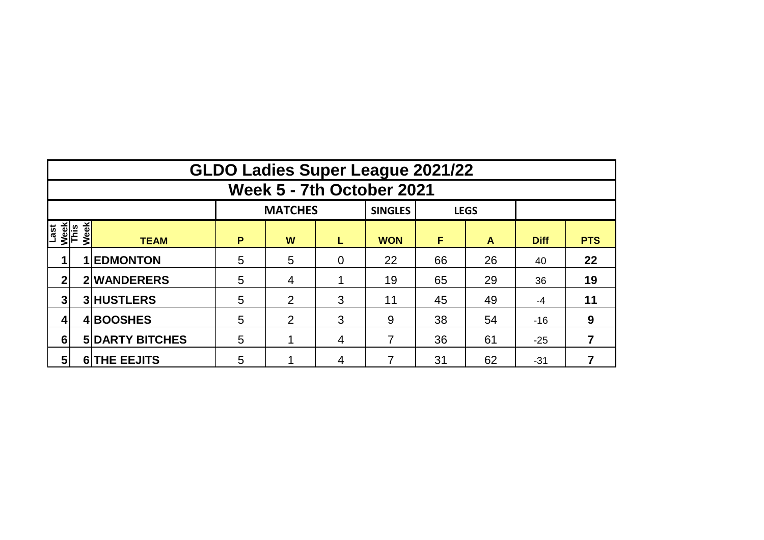|                             |      |                        |   |                |          | <b>GLDO Ladies Super League 2021/22</b> |    |             |             |            |
|-----------------------------|------|------------------------|---|----------------|----------|-----------------------------------------|----|-------------|-------------|------------|
|                             |      |                        |   |                |          | Week 5 - 7th October 2021               |    |             |             |            |
|                             |      |                        |   | <b>MATCHES</b> |          | <b>SINGLES</b>                          |    | <b>LEGS</b> |             |            |
| Last<br><u>Week</u><br>This | Week | <b>TEAM</b>            | P | W              | L        | <b>WON</b>                              | F  | A           | <b>Diff</b> | <b>PTS</b> |
|                             |      | <b>EDMONTON</b>        | 5 | 5              | $\Omega$ | 22                                      | 66 | 26          | 40          | 22         |
| $\mathbf 2$                 |      | 2 WANDERERS            | 5 | 4              |          | 19                                      | 65 | 29          | 36          | 19         |
| $\overline{3}$              |      | 3 HUSTLERS             | 5 | 2              | 3        | 11                                      | 45 | 49          | -4          | 11         |
| 4                           |      | 4BOOSHES               | 5 | $\overline{2}$ | 3        | 9                                       | 38 | 54          | $-16$       | 9          |
| 6                           |      | <b>5 DARTY BITCHES</b> | 5 |                | 4        | 7                                       | 36 | 61          | $-25$       |            |
| 5                           |      | <b>6 THE EEJITS</b>    | 5 |                | 4        |                                         | 31 | 62          | $-31$       |            |